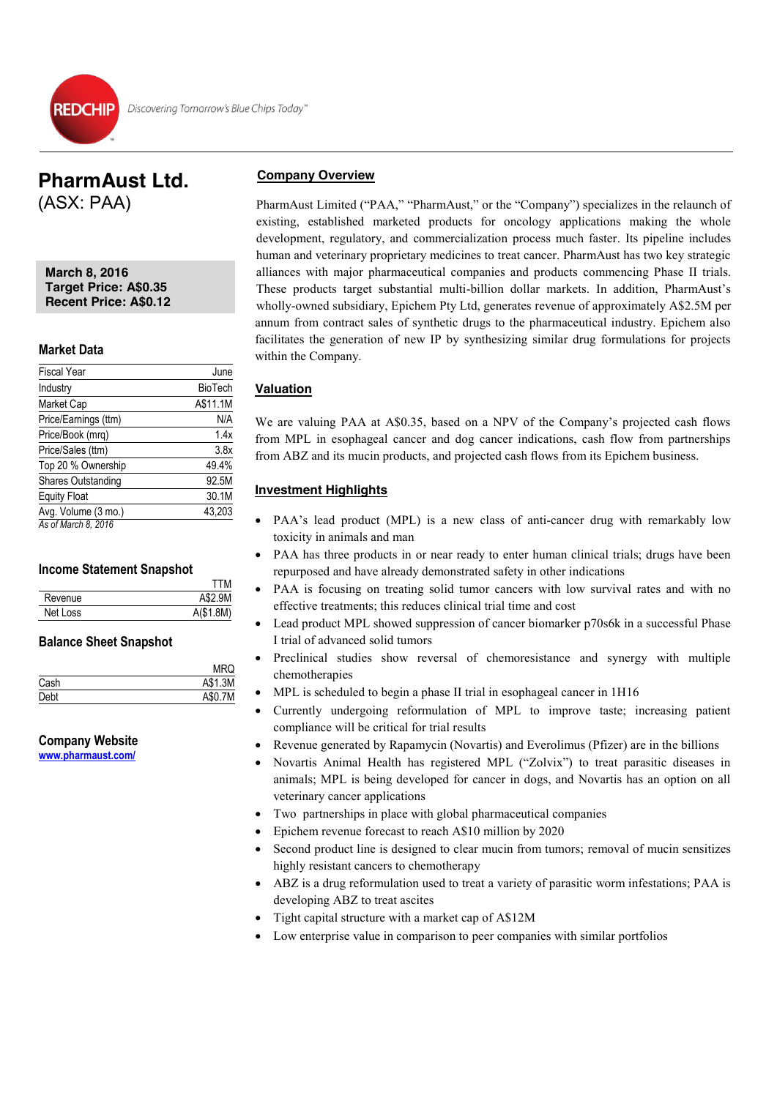### **PharmAust Ltd.**  (ASX: PAA)

**March 8, 2016 Target Price: A\$0.35 Recent Price: A\$0.12** 

### **Market Data**

L

| <b>Fiscal Year</b>        | June           |
|---------------------------|----------------|
| Industry                  | <b>BioTech</b> |
| Market Cap                | A\$11.1M       |
| Price/Earnings (ttm)      | N/A            |
| Price/Book (mrg)          | 1.4x           |
| Price/Sales (ttm)         | 3.8x           |
| Top 20 % Ownership        | 49.4%          |
| <b>Shares Outstanding</b> | 92.5M          |
| <b>Equity Float</b>       | 30.1M          |
| Avg. Volume (3 mo.)       | 43,203         |
| As of March 8, 2016       |                |

### **Income Statement Snapshot**

|          | TTM        |
|----------|------------|
| Revenue  | A\$2.9M    |
| Net Loss | A (\$1.8M) |

### **Balance Sheet Snapshot**

|      | <b>MRQ</b> |
|------|------------|
| Cash | A\$1.3M    |
| Debt | A\$0.7M    |

### **Company Website**

**www.pharmaust.com/**

### **Company Overview**

PharmAust Limited ("PAA," "PharmAust," or the "Company") specializes in the relaunch of existing, established marketed products for oncology applications making the whole development, regulatory, and commercialization process much faster. Its pipeline includes human and veterinary proprietary medicines to treat cancer. PharmAust has two key strategic alliances with major pharmaceutical companies and products commencing Phase II trials. These products target substantial multi-billion dollar markets. In addition, PharmAust's wholly-owned subsidiary, Epichem Pty Ltd, generates revenue of approximately A\$2.5M per annum from contract sales of synthetic drugs to the pharmaceutical industry. Epichem also facilitates the generation of new IP by synthesizing similar drug formulations for projects within the Company.

### **Valuation**

We are valuing PAA at A\$0.35, based on a NPV of the Company's projected cash flows from MPL in esophageal cancer and dog cancer indications, cash flow from partnerships from ABZ and its mucin products, and projected cash flows from its Epichem business.

### **Investment Highlights**

- PAA's lead product (MPL) is a new class of anti-cancer drug with remarkably low toxicity in animals and man
- PAA has three products in or near ready to enter human clinical trials; drugs have been repurposed and have already demonstrated safety in other indications
- PAA is focusing on treating solid tumor cancers with low survival rates and with no effective treatments; this reduces clinical trial time and cost
- Lead product MPL showed suppression of cancer biomarker p70s6k in a successful Phase I trial of advanced solid tumors
- Preclinical studies show reversal of chemoresistance and synergy with multiple chemotherapies
- MPL is scheduled to begin a phase II trial in esophageal cancer in 1H16
- x Currently undergoing reformulation of MPL to improve taste; increasing patient compliance will be critical for trial results
- x Revenue generated by Rapamycin (Novartis) and Everolimus (Pfizer) are in the billions
- x Novartis Animal Health has registered MPL ("Zolvix") to treat parasitic diseases in animals; MPL is being developed for cancer in dogs, and Novartis has an option on all veterinary cancer applications
- Two partnerships in place with global pharmaceutical companies
- Epichem revenue forecast to reach A\$10 million by 2020
- Second product line is designed to clear mucin from tumors; removal of mucin sensitizes highly resistant cancers to chemotherapy
- ABZ is a drug reformulation used to treat a variety of parasitic worm infestations; PAA is developing ABZ to treat ascites
- Tight capital structure with a market cap of A\$12M
- Low enterprise value in comparison to peer companies with similar portfolios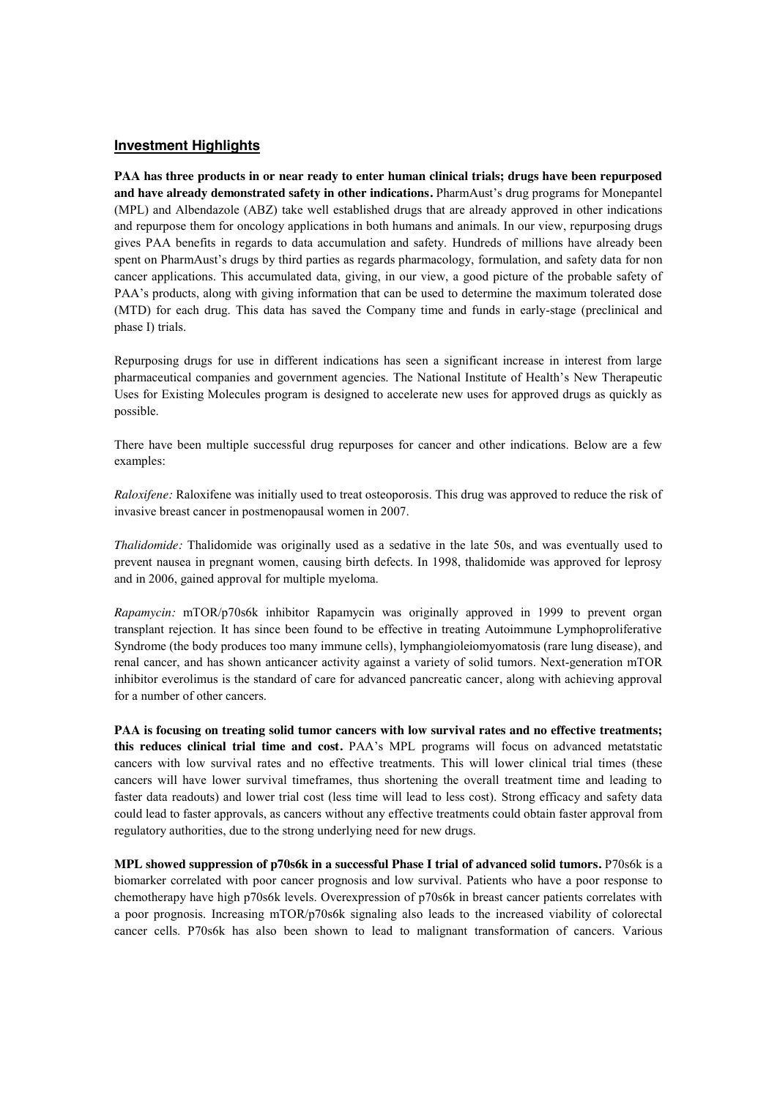### **Investment Highlights**

**PAA has three products in or near ready to enter human clinical trials; drugs have been repurposed and have already demonstrated safety in other indications.** PharmAust's drug programs for Monepantel (MPL) and Albendazole (ABZ) take well established drugs that are already approved in other indications and repurpose them for oncology applications in both humans and animals. In our view, repurposing drugs gives PAA benefits in regards to data accumulation and safety. Hundreds of millions have already been spent on PharmAust's drugs by third parties as regards pharmacology, formulation, and safety data for non cancer applications. This accumulated data, giving, in our view, a good picture of the probable safety of PAA's products, along with giving information that can be used to determine the maximum tolerated dose (MTD) for each drug. This data has saved the Company time and funds in early-stage (preclinical and phase I) trials.

Repurposing drugs for use in different indications has seen a significant increase in interest from large pharmaceutical companies and government agencies. The National Institute of Health's New Therapeutic Uses for Existing Molecules program is designed to accelerate new uses for approved drugs as quickly as possible.

There have been multiple successful drug repurposes for cancer and other indications. Below are a few examples:

*Raloxifene:* Raloxifene was initially used to treat osteoporosis. This drug was approved to reduce the risk of invasive breast cancer in postmenopausal women in 2007.

*Thalidomide:* Thalidomide was originally used as a sedative in the late 50s, and was eventually used to prevent nausea in pregnant women, causing birth defects. In 1998, thalidomide was approved for leprosy and in 2006, gained approval for multiple myeloma.

*Rapamycin:* mTOR/p70s6k inhibitor Rapamycin was originally approved in 1999 to prevent organ transplant rejection. It has since been found to be effective in treating Autoimmune Lymphoproliferative Syndrome (the body produces too many immune cells), lymphangioleiomyomatosis (rare lung disease), and renal cancer, and has shown anticancer activity against a variety of solid tumors. Next-generation mTOR inhibitor everolimus is the standard of care for advanced pancreatic cancer, along with achieving approval for a number of other cancers.

**PAA is focusing on treating solid tumor cancers with low survival rates and no effective treatments; this reduces clinical trial time and cost.** PAA's MPL programs will focus on advanced metatstatic cancers with low survival rates and no effective treatments. This will lower clinical trial times (these cancers will have lower survival timeframes, thus shortening the overall treatment time and leading to faster data readouts) and lower trial cost (less time will lead to less cost). Strong efficacy and safety data could lead to faster approvals, as cancers without any effective treatments could obtain faster approval from regulatory authorities, due to the strong underlying need for new drugs.

**MPL showed suppression of p70s6k in a successful Phase I trial of advanced solid tumors.** P70s6k is a biomarker correlated with poor cancer prognosis and low survival. Patients who have a poor response to chemotherapy have high p70s6k levels. Overexpression of p70s6k in breast cancer patients correlates with a poor prognosis. Increasing mTOR/p70s6k signaling also leads to the increased viability of colorectal cancer cells. P70s6k has also been shown to lead to malignant transformation of cancers. Various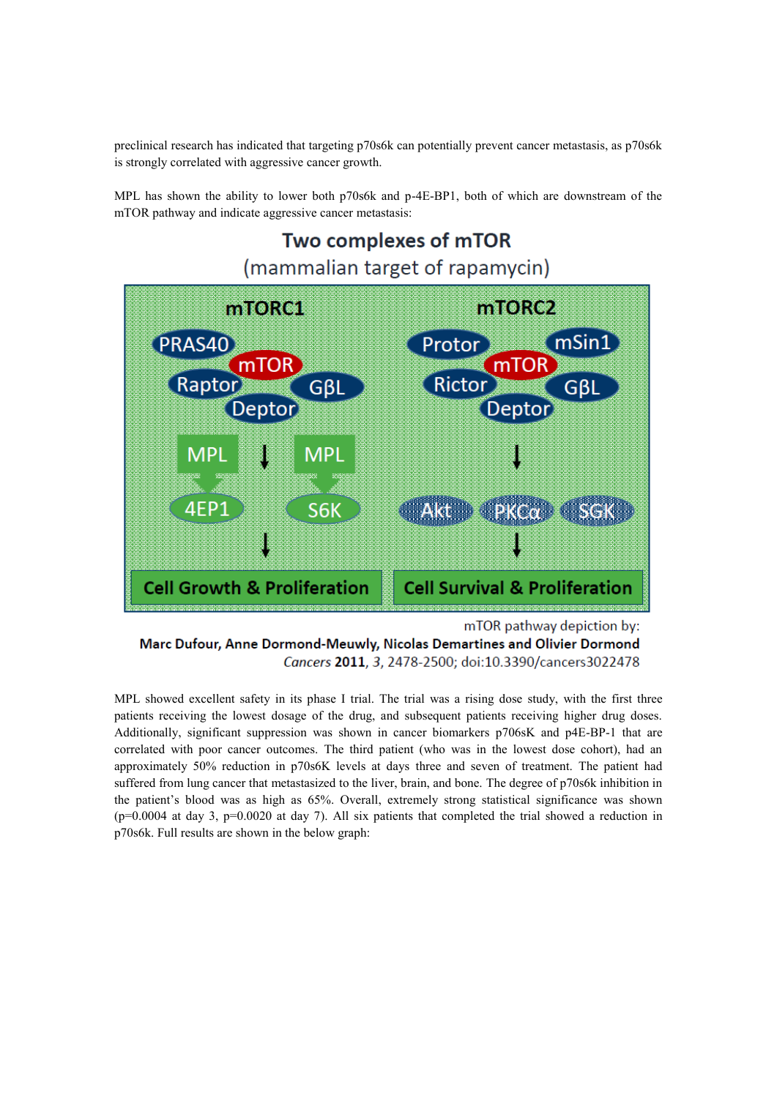preclinical research has indicated that targeting p70s6k can potentially prevent cancer metastasis, as p70s6k is strongly correlated with aggressive cancer growth.

MPL has shown the ability to lower both p70s6k and p-4E-BP1, both of which are downstream of the mTOR pathway and indicate aggressive cancer metastasis:



Marc Dufour, Anne Dormond-Meuwly, Nicolas Demartines and Olivier Dormond Cancers 2011, 3, 2478-2500; doi:10.3390/cancers3022478

MPL showed excellent safety in its phase I trial. The trial was a rising dose study, with the first three patients receiving the lowest dosage of the drug, and subsequent patients receiving higher drug doses. Additionally, significant suppression was shown in cancer biomarkers p706sK and p4E-BP-1 that are correlated with poor cancer outcomes. The third patient (who was in the lowest dose cohort), had an approximately 50% reduction in p70s6K levels at days three and seven of treatment. The patient had suffered from lung cancer that metastasized to the liver, brain, and bone. The degree of p70s6k inhibition in the patient's blood was as high as 65%. Overall, extremely strong statistical significance was shown  $(p=0.0004$  at day 3,  $p=0.0020$  at day 7). All six patients that completed the trial showed a reduction in p70s6k. Full results are shown in the below graph: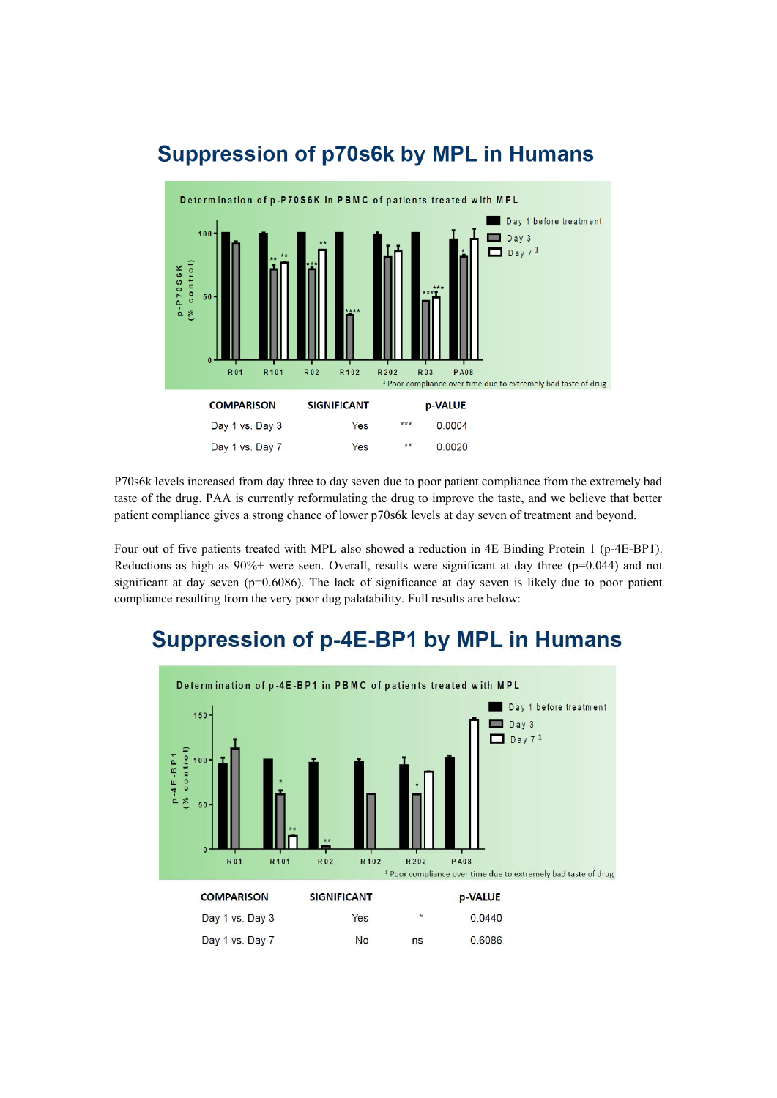

# **Suppression of p70s6k by MPL in Humans**

P70s6k levels increased from day three to day seven due to poor patient compliance from the extremely bad taste of the drug. PAA is currently reformulating the drug to improve the taste, and we believe that better patient compliance gives a strong chance of lower p70s6k levels at day seven of treatment and beyond.

Four out of five patients treated with MPL also showed a reduction in 4E Binding Protein 1 (p-4E-BP1). Reductions as high as  $90\%$ + were seen. Overall, results were significant at day three ( $p=0.044$ ) and not significant at day seven ( $p=0.6086$ ). The lack of significance at day seven is likely due to poor patient compliance resulting from the very poor dug palatability. Full results are below:

# **Suppression of p-4E-BP1 by MPL in Humans**

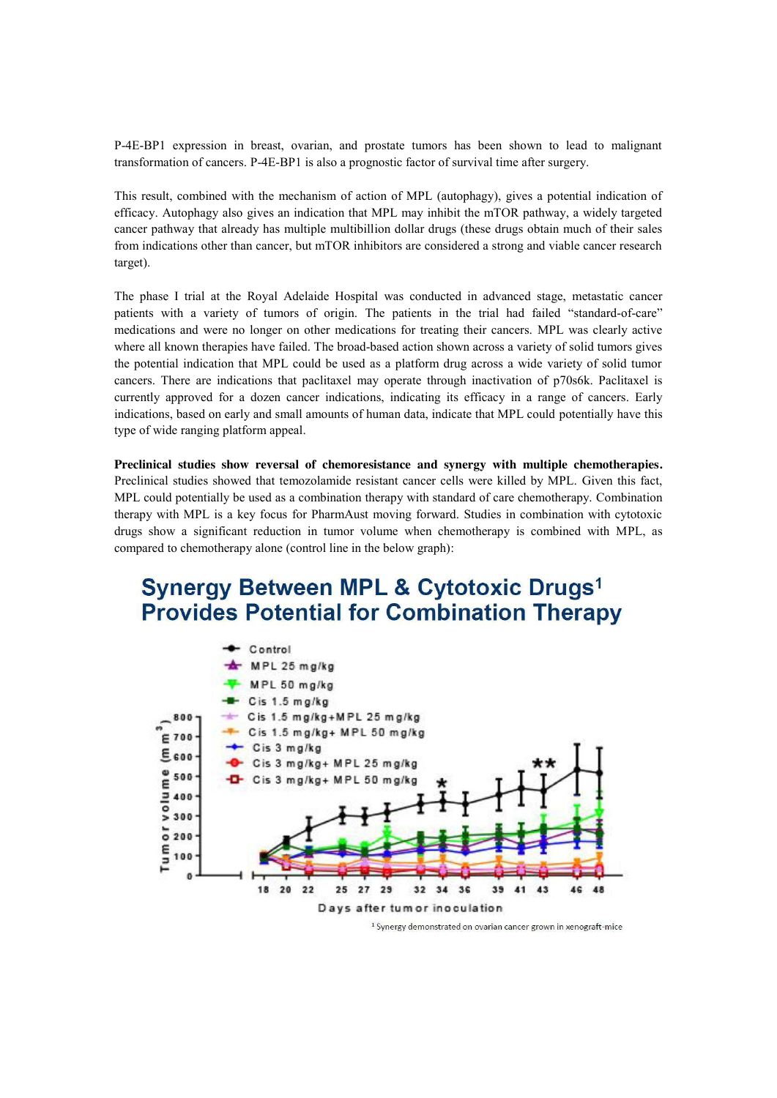P-4E-BP1 expression in breast, ovarian, and prostate tumors has been shown to lead to malignant transformation of cancers. P-4E-BP1 is also a prognostic factor of survival time after surgery.

This result, combined with the mechanism of action of MPL (autophagy), gives a potential indication of efficacy. Autophagy also gives an indication that MPL may inhibit the mTOR pathway, a widely targeted cancer pathway that already has multiple multibillion dollar drugs (these drugs obtain much of their sales from indications other than cancer, but mTOR inhibitors are considered a strong and viable cancer research target).

The phase I trial at the Royal Adelaide Hospital was conducted in advanced stage, metastatic cancer patients with a variety of tumors of origin. The patients in the trial had failed "standard-of-care" medications and were no longer on other medications for treating their cancers. MPL was clearly active where all known therapies have failed. The broad-based action shown across a variety of solid tumors gives the potential indication that MPL could be used as a platform drug across a wide variety of solid tumor cancers. There are indications that paclitaxel may operate through inactivation of p70s6k. Paclitaxel is currently approved for a dozen cancer indications, indicating its efficacy in a range of cancers. Early indications, based on early and small amounts of human data, indicate that MPL could potentially have this type of wide ranging platform appeal.

**Preclinical studies show reversal of chemoresistance and synergy with multiple chemotherapies.**  Preclinical studies showed that temozolamide resistant cancer cells were killed by MPL. Given this fact, MPL could potentially be used as a combination therapy with standard of care chemotherapy. Combination therapy with MPL is a key focus for PharmAust moving forward. Studies in combination with cytotoxic drugs show a significant reduction in tumor volume when chemotherapy is combined with MPL, as compared to chemotherapy alone (control line in the below graph):

### **Synergy Between MPL & Cytotoxic Drugs1 Provides Potential for Combination Therapy**



<sup>&</sup>lt;sup>1</sup> Synergy demonstrated on ovarian cancer grown in xenograft-mice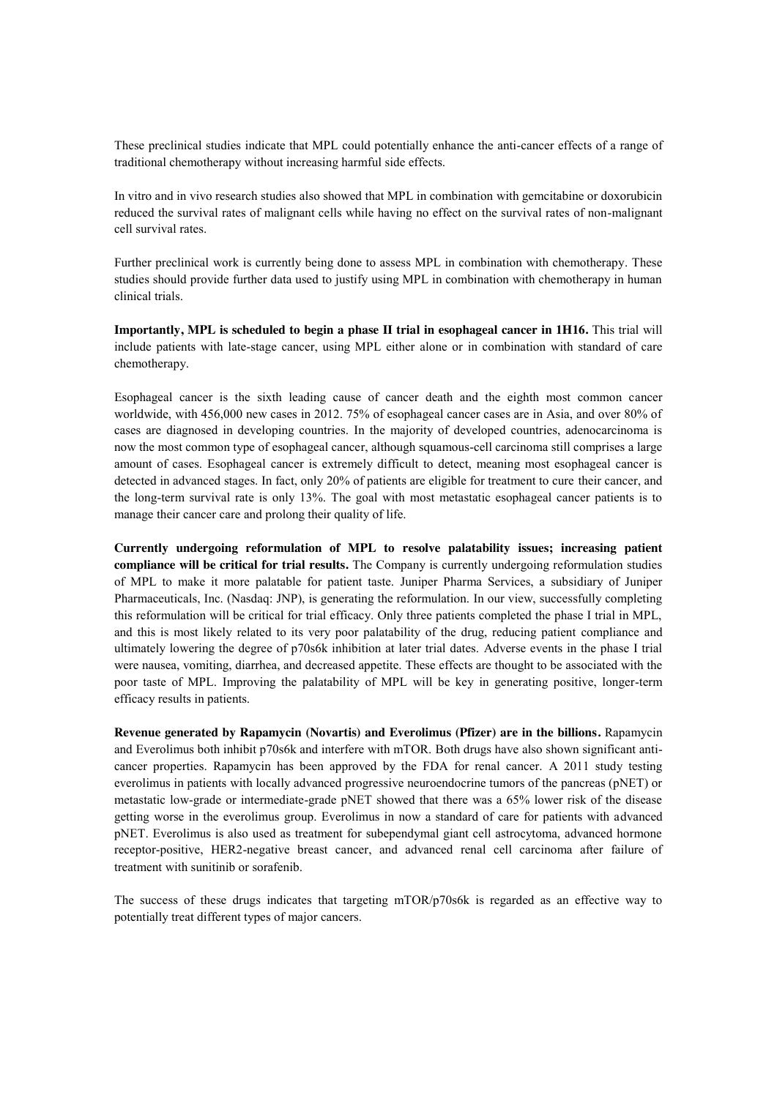These preclinical studies indicate that MPL could potentially enhance the anti-cancer effects of a range of traditional chemotherapy without increasing harmful side effects.

In vitro and in vivo research studies also showed that MPL in combination with gemcitabine or doxorubicin reduced the survival rates of malignant cells while having no effect on the survival rates of non-malignant cell survival rates.

Further preclinical work is currently being done to assess MPL in combination with chemotherapy. These studies should provide further data used to justify using MPL in combination with chemotherapy in human clinical trials.

**Importantly, MPL is scheduled to begin a phase II trial in esophageal cancer in 1H16. This trial will** include patients with late-stage cancer, using MPL either alone or in combination with standard of care chemotherapy.

Esophageal cancer is the sixth leading cause of cancer death and the eighth most common cancer worldwide, with 456,000 new cases in 2012. 75% of esophageal cancer cases are in Asia, and over 80% of cases are diagnosed in developing countries. In the majority of developed countries, adenocarcinoma is now the most common type of esophageal cancer, although squamous-cell carcinoma still comprises a large amount of cases. Esophageal cancer is extremely difficult to detect, meaning most esophageal cancer is detected in advanced stages. In fact, only 20% of patients are eligible for treatment to cure their cancer, and the long-term survival rate is only 13%. The goal with most metastatic esophageal cancer patients is to manage their cancer care and prolong their quality of life.

**Currently undergoing reformulation of MPL to resolve palatability issues; increasing patient compliance will be critical for trial results.** The Company is currently undergoing reformulation studies of MPL to make it more palatable for patient taste. Juniper Pharma Services, a subsidiary of Juniper Pharmaceuticals, Inc. (Nasdaq: JNP), is generating the reformulation. In our view, successfully completing this reformulation will be critical for trial efficacy. Only three patients completed the phase I trial in MPL, and this is most likely related to its very poor palatability of the drug, reducing patient compliance and ultimately lowering the degree of p70s6k inhibition at later trial dates. Adverse events in the phase I trial were nausea, vomiting, diarrhea, and decreased appetite. These effects are thought to be associated with the poor taste of MPL. Improving the palatability of MPL will be key in generating positive, longer-term efficacy results in patients.

**Revenue generated by Rapamycin (Novartis) and Everolimus (Pfizer) are in the billions.** Rapamycin and Everolimus both inhibit p70s6k and interfere with mTOR. Both drugs have also shown significant anticancer properties. Rapamycin has been approved by the FDA for renal cancer. A 2011 study testing everolimus in patients with locally advanced progressive neuroendocrine tumors of the pancreas (pNET) or metastatic low-grade or intermediate-grade pNET showed that there was a 65% lower risk of the disease getting worse in the everolimus group. Everolimus in now a standard of care for patients with advanced pNET. Everolimus is also used as treatment for subependymal giant cell astrocytoma, advanced hormone receptor-positive, HER2-negative breast cancer, and advanced renal cell carcinoma after failure of treatment with sunitinib or sorafenib.

The success of these drugs indicates that targeting mTOR/p70s6k is regarded as an effective way to potentially treat different types of major cancers.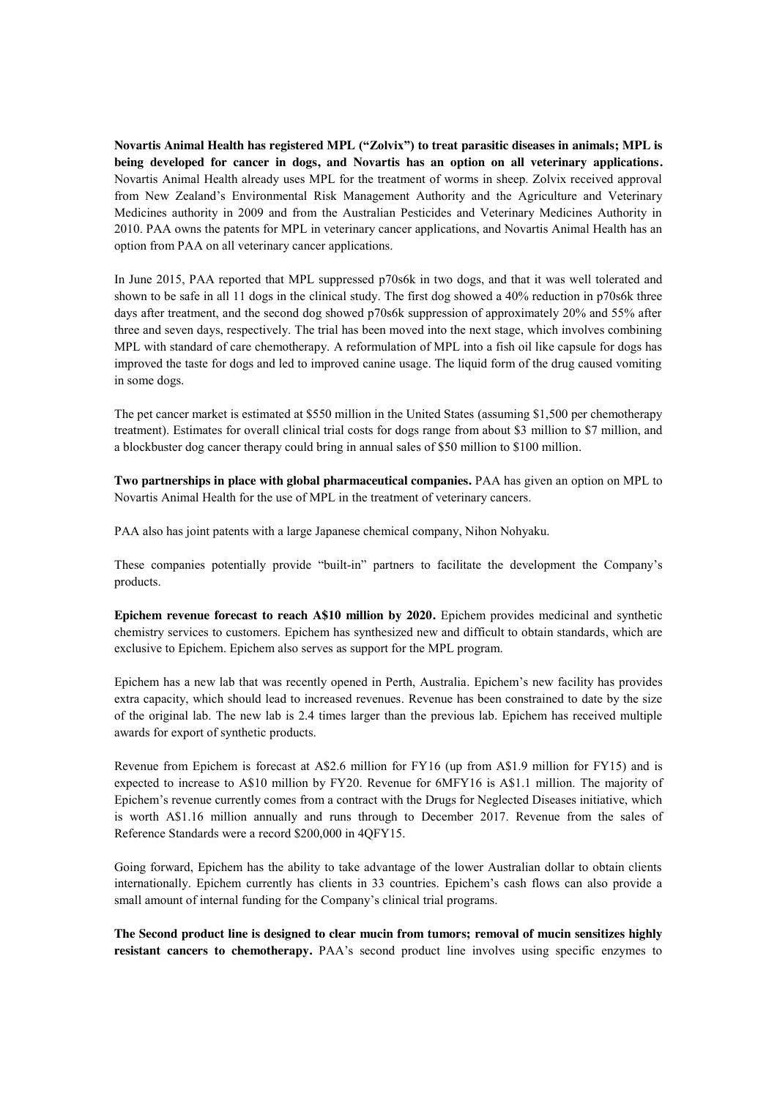**Novartis Animal Health has registered MPL ("Zolvix") to treat parasitic diseases in animals; MPL is being developed for cancer in dogs, and Novartis has an option on all veterinary applications.**  Novartis Animal Health already uses MPL for the treatment of worms in sheep. Zolvix received approval from New Zealand's Environmental Risk Management Authority and the Agriculture and Veterinary Medicines authority in 2009 and from the Australian Pesticides and Veterinary Medicines Authority in 2010. PAA owns the patents for MPL in veterinary cancer applications, and Novartis Animal Health has an option from PAA on all veterinary cancer applications.

In June 2015, PAA reported that MPL suppressed p70s6k in two dogs, and that it was well tolerated and shown to be safe in all 11 dogs in the clinical study. The first dog showed a 40% reduction in p70s6k three days after treatment, and the second dog showed p70s6k suppression of approximately 20% and 55% after three and seven days, respectively. The trial has been moved into the next stage, which involves combining MPL with standard of care chemotherapy. A reformulation of MPL into a fish oil like capsule for dogs has improved the taste for dogs and led to improved canine usage. The liquid form of the drug caused vomiting in some dogs.

The pet cancer market is estimated at \$550 million in the United States (assuming \$1,500 per chemotherapy treatment). Estimates for overall clinical trial costs for dogs range from about \$3 million to \$7 million, and a blockbuster dog cancer therapy could bring in annual sales of \$50 million to \$100 million.

**Two partnerships in place with global pharmaceutical companies.** PAA has given an option on MPL to Novartis Animal Health for the use of MPL in the treatment of veterinary cancers.

PAA also has joint patents with a large Japanese chemical company, Nihon Nohyaku.

These companies potentially provide "built-in" partners to facilitate the development the Company's products.

**Epichem revenue forecast to reach A\$10 million by 2020.** Epichem provides medicinal and synthetic chemistry services to customers. Epichem has synthesized new and difficult to obtain standards, which are exclusive to Epichem. Epichem also serves as support for the MPL program.

Epichem has a new lab that was recently opened in Perth, Australia. Epichem's new facility has provides extra capacity, which should lead to increased revenues. Revenue has been constrained to date by the size of the original lab. The new lab is 2.4 times larger than the previous lab. Epichem has received multiple awards for export of synthetic products.

Revenue from Epichem is forecast at A\$2.6 million for FY16 (up from A\$1.9 million for FY15) and is expected to increase to A\$10 million by FY20. Revenue for 6MFY16 is A\$1.1 million. The majority of Epichem's revenue currently comes from a contract with the Drugs for Neglected Diseases initiative, which is worth A\$1.16 million annually and runs through to December 2017. Revenue from the sales of Reference Standards were a record \$200,000 in 4QFY15.

Going forward, Epichem has the ability to take advantage of the lower Australian dollar to obtain clients internationally. Epichem currently has clients in 33 countries. Epichem's cash flows can also provide a small amount of internal funding for the Company's clinical trial programs.

**The Second product line is designed to clear mucin from tumors; removal of mucin sensitizes highly resistant cancers to chemotherapy.** PAA's second product line involves using specific enzymes to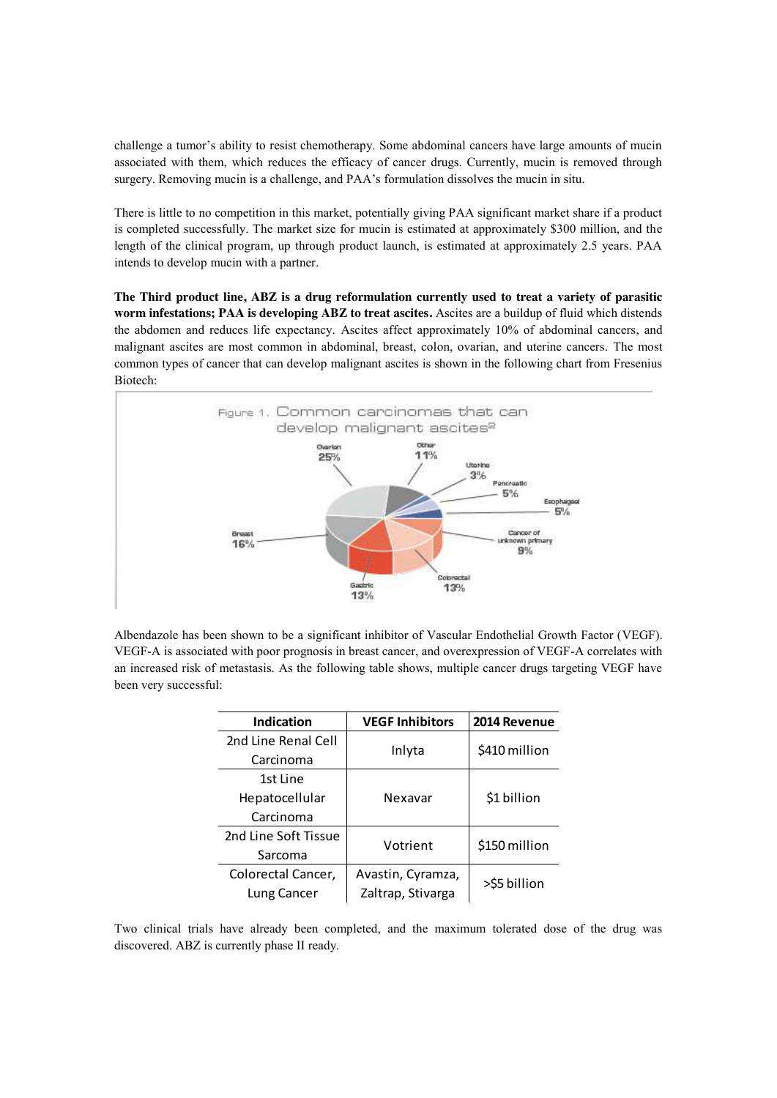challenge a tumor's ability to resist chemotherapy. Some abdominal cancers have large amounts of mucin associated with them, which reduces the efficacy of cancer drugs. Currently, mucin is removed through surgery. Removing mucin is a challenge, and PAA's formulation dissolves the mucin in situ.

There is little to no competition in this market, potentially giving PAA significant market share if a product is completed successfully. The market size for mucin is estimated at approximately \$300 million, and the length of the clinical program, up through product launch, is estimated at approximately 2.5 years. PAA intends to develop mucin with a partner.

**The Third product line, ABZ is a drug reformulation currently used to treat a variety of parasitic worm infestations; PAA is developing ABZ to treat ascites.** Ascites are a buildup of fluid which distends the abdomen and reduces life expectancy. Ascites affect approximately 10% of abdominal cancers, and malignant ascites are most common in abdominal, breast, colon, ovarian, and uterine cancers. The most common types of cancer that can develop malignant ascites is shown in the following chart from Fresenius Biotech:



Albendazole has been shown to be a significant inhibitor of Vascular Endothelial Growth Factor (VEGF). VEGF-A is associated with poor prognosis in breast cancer, and overexpression of VEGF-A correlates with an increased risk of metastasis. As the following table shows, multiple cancer drugs targeting VEGF have been very successful:

| <b>Indication</b>    | <b>VEGF Inhibitors</b> | 2014 Revenue  |  |  |
|----------------------|------------------------|---------------|--|--|
| 2nd Line Renal Cell  |                        | \$410 million |  |  |
| Carcinoma            | Inlyta                 |               |  |  |
| 1st Line             |                        |               |  |  |
| Hepatocellular       | Nexavar                | \$1 billion   |  |  |
| Carcinoma            |                        |               |  |  |
| 2nd Line Soft Tissue | Votrient               |               |  |  |
| Sarcoma              |                        | \$150 million |  |  |
| Colorectal Cancer,   | Avastin, Cyramza,      |               |  |  |
| Lung Cancer          | Zaltrap, Stivarga      | >\$5 billion  |  |  |

Two clinical trials have already been completed, and the maximum tolerated dose of the drug was discovered. ABZ is currently phase II ready.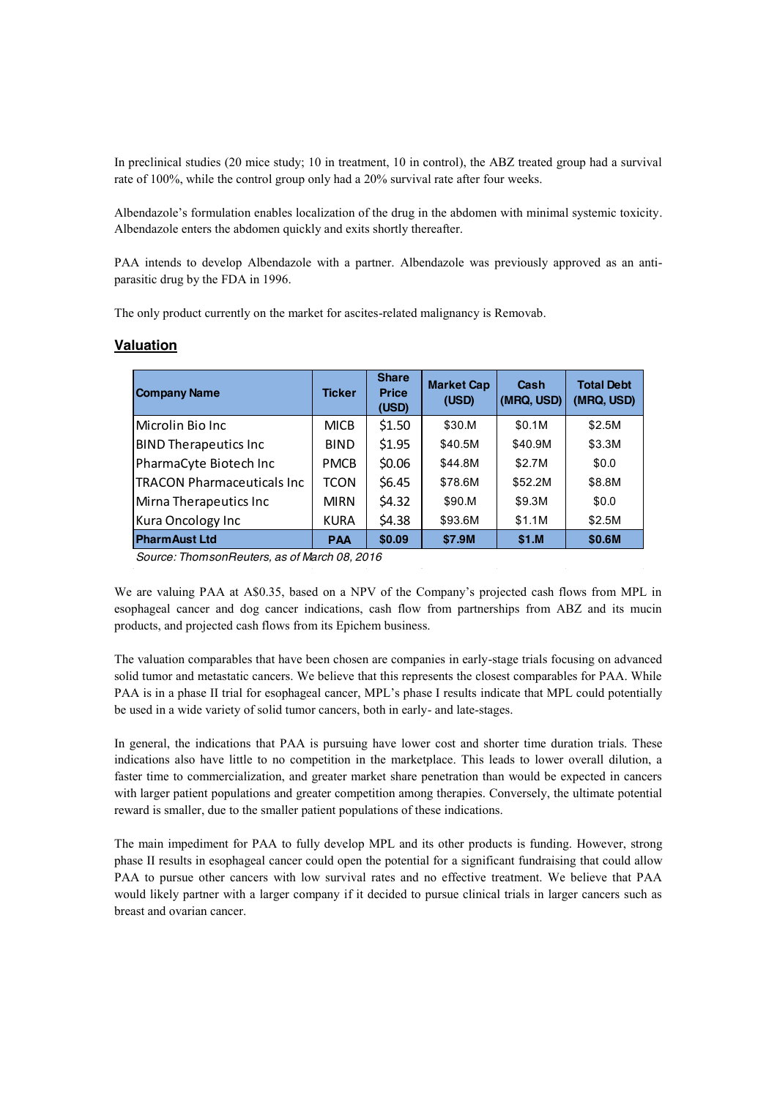In preclinical studies (20 mice study; 10 in treatment, 10 in control), the ABZ treated group had a survival rate of 100%, while the control group only had a 20% survival rate after four weeks.

Albendazole's formulation enables localization of the drug in the abdomen with minimal systemic toxicity. Albendazole enters the abdomen quickly and exits shortly thereafter.

PAA intends to develop Albendazole with a partner. Albendazole was previously approved as an antiparasitic drug by the FDA in 1996.

The only product currently on the market for ascites-related malignancy is Removab.

### **Valuation**

| Company Name                                  | <b>Ticker</b> | <b>Share</b><br><b>Price</b><br>(USD) | <b>Market Cap</b><br>(USD) | Cash<br>(MRQ, USD) | <b>Total Debt</b><br>(MRQ, USD) |  |  |  |  |  |
|-----------------------------------------------|---------------|---------------------------------------|----------------------------|--------------------|---------------------------------|--|--|--|--|--|
| lMicrolin Bio Inc                             | <b>MICB</b>   | \$1.50                                | \$30.M                     | \$0.1M             | \$2.5M                          |  |  |  |  |  |
| <b>BIND Therapeutics Inc</b>                  | <b>BIND</b>   | \$1.95                                | \$40.5M                    | \$40.9M            | \$3.3M                          |  |  |  |  |  |
| PharmaCyte Biotech Inc                        | <b>PMCB</b>   | \$0.06                                | \$44.8M                    | \$2.7M             | \$0.0                           |  |  |  |  |  |
| TRACON Pharmaceuticals Inc                    | <b>TCON</b>   | \$6.45                                | \$78.6M                    | \$52.2M            | \$8.8M                          |  |  |  |  |  |
| Mirna Therapeutics Inc                        | <b>MIRN</b>   | \$4.32                                | \$90.M                     | \$9.3M             | \$0.0                           |  |  |  |  |  |
| Kura Oncology Inc                             | <b>KURA</b>   | \$4.38                                | \$93.6M                    | \$1.1M             | \$2.5M                          |  |  |  |  |  |
| <b>PharmAust Ltd</b>                          | <b>PAA</b>    | \$0.09                                | \$7.9M                     | \$1.M              | \$0.6M                          |  |  |  |  |  |
| Source: Thomson Doutare, as of March 08, 2016 |               |                                       |                            |                    |                                 |  |  |  |  |  |

Source: ThomsonReuters, as of March 08, 2016

We are valuing PAA at A\$0.35, based on a NPV of the Company's projected cash flows from MPL in esophageal cancer and dog cancer indications, cash flow from partnerships from ABZ and its mucin products, and projected cash flows from its Epichem business.

The valuation comparables that have been chosen are companies in early-stage trials focusing on advanced solid tumor and metastatic cancers. We believe that this represents the closest comparables for PAA. While PAA is in a phase II trial for esophageal cancer, MPL's phase I results indicate that MPL could potentially be used in a wide variety of solid tumor cancers, both in early- and late-stages.

In general, the indications that PAA is pursuing have lower cost and shorter time duration trials. These indications also have little to no competition in the marketplace. This leads to lower overall dilution, a faster time to commercialization, and greater market share penetration than would be expected in cancers with larger patient populations and greater competition among therapies. Conversely, the ultimate potential reward is smaller, due to the smaller patient populations of these indications.

The main impediment for PAA to fully develop MPL and its other products is funding. However, strong phase II results in esophageal cancer could open the potential for a significant fundraising that could allow PAA to pursue other cancers with low survival rates and no effective treatment. We believe that PAA would likely partner with a larger company if it decided to pursue clinical trials in larger cancers such as breast and ovarian cancer.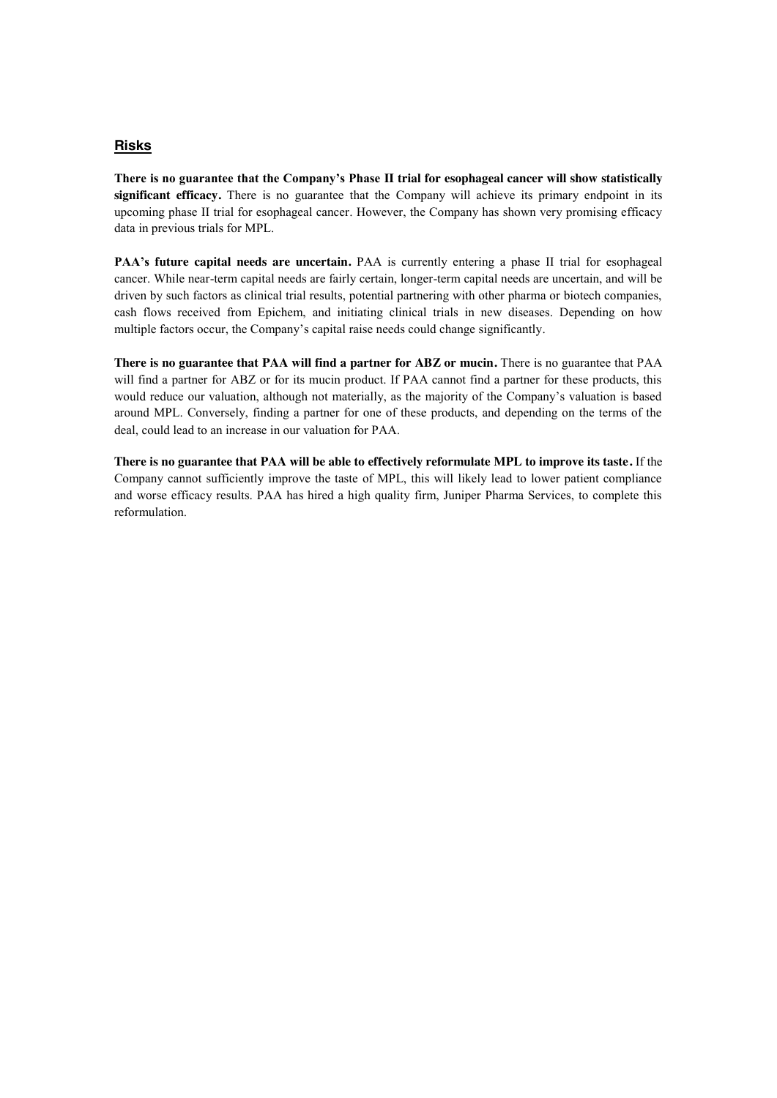### **Risks**

**There is no guarantee that the Company's Phase II trial for esophageal cancer will show statistically significant efficacy.** There is no guarantee that the Company will achieve its primary endpoint in its upcoming phase II trial for esophageal cancer. However, the Company has shown very promising efficacy data in previous trials for MPL.

**PAA's future capital needs are uncertain.** PAA is currently entering a phase II trial for esophageal cancer. While near-term capital needs are fairly certain, longer-term capital needs are uncertain, and will be driven by such factors as clinical trial results, potential partnering with other pharma or biotech companies, cash flows received from Epichem, and initiating clinical trials in new diseases. Depending on how multiple factors occur, the Company's capital raise needs could change significantly.

**There is no guarantee that PAA will find a partner for ABZ or mucin.** There is no guarantee that PAA will find a partner for ABZ or for its mucin product. If PAA cannot find a partner for these products, this would reduce our valuation, although not materially, as the majority of the Company's valuation is based around MPL. Conversely, finding a partner for one of these products, and depending on the terms of the deal, could lead to an increase in our valuation for PAA.

**There is no guarantee that PAA will be able to effectively reformulate MPL to improve its taste.** If the Company cannot sufficiently improve the taste of MPL, this will likely lead to lower patient compliance and worse efficacy results. PAA has hired a high quality firm, Juniper Pharma Services, to complete this reformulation.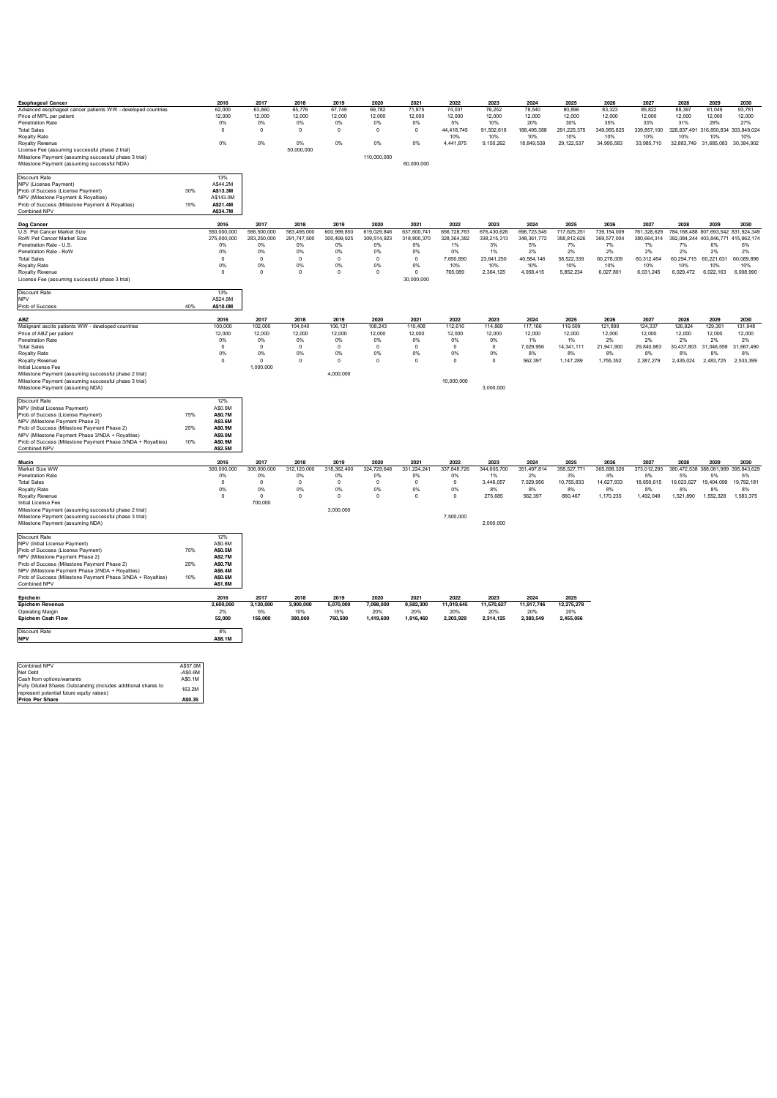| <b>Esophageal Cancer</b>                                                                  |           | 2016              | 2017        | 2018        | 2019        | 2020         | 2021        | 2022          | 2023        | 2024          | 2025        | 2026          | 2027        | 2028                                            | 2029                             | 2030       |
|-------------------------------------------------------------------------------------------|-----------|-------------------|-------------|-------------|-------------|--------------|-------------|---------------|-------------|---------------|-------------|---------------|-------------|-------------------------------------------------|----------------------------------|------------|
| Advanced esophageal cancer patients WW - developed countries                              |           | 62,000            | 63,860      | 65,776      | 67,749      | 69,782       | 71,875      | 74,031        | 76,252      | 78,540        | 80,896      | 83,323        | 85,822      | 88,397                                          | 91,049                           | 93,781     |
| Price of MPL per patient                                                                  |           | 12,000            | 12,000      | 12,000      | 12,000      | 12,000       | 12,000      | 12,000        | 12,000      | 12,000        | 12,000      | 12,000        | 12,000      | 12,000                                          | 12,000                           | 12,000     |
| Penetration Rate                                                                          |           | 0%                | 0%          | 0%          | 0%          | 0%           | 0%          | 5%            | 10%         | 20%           | 30%         | 35%           | 33%         | 31%                                             | 29%                              | 27%        |
| <b>Total Sales</b>                                                                        |           | $\mathsf{o}\,$    | $\mathbb O$ | $\mathbf 0$ | $\mathbf 0$ | $\mathbf 0$  | $\mathsf 0$ | 44,418,745    | 91,502,616  | 188,495,388   | 291,225,375 | 349,955,825   | 339,857,100 | 328,837,491 316,850,834 303,849,024             |                                  |            |
| Royalty Rate                                                                              |           |                   |             |             |             |              |             | 10%           | 10%         | 10%           | 10%         | 10%           | 10%         | 10%                                             | 10%                              | 10%        |
| Royalty Revenue                                                                           |           | 0%                | 0%          | 0%          | 0%          | 0%           | 0%          | 4,441,875     | 9,150,262   | 18,849,539    | 29,122,537  | 34,995,583    | 33,985,710  |                                                 | 32,883,749 31,685,083 30,384,902 |            |
| License Fee (assuming successful phase 2 trial)                                           |           |                   |             | 50.000.000  |             |              |             |               |             |               |             |               |             |                                                 |                                  |            |
| Milestone Payment (assuming successful phase 3 trial)                                     |           |                   |             |             |             | 110,000,000  |             |               |             |               |             |               |             |                                                 |                                  |            |
| Milestone Payment (assuming successful NDA)                                               |           |                   |             |             |             |              | 60.000.000  |               |             |               |             |               |             |                                                 |                                  |            |
|                                                                                           |           |                   |             |             |             |              |             |               |             |               |             |               |             |                                                 |                                  |            |
| <b>Discount Rate</b>                                                                      |           | 13%               |             |             |             |              |             |               |             |               |             |               |             |                                                 |                                  |            |
| NPV (License Payment)                                                                     |           | A\$44 2M          |             |             |             |              |             |               |             |               |             |               |             |                                                 |                                  |            |
| Prob of Success (License Payment)                                                         | 30%       | A\$13.3M          |             |             |             |              |             |               |             |               |             |               |             |                                                 |                                  |            |
| NPV (Milestone Payment & Rovalties)                                                       |           | A\$143.0M         |             |             |             |              |             |               |             |               |             |               |             |                                                 |                                  |            |
| Prob of Success (Milestone Payment & Royalties)                                           | 15%       | AS21.4M           |             |             |             |              |             |               |             |               |             |               |             |                                                 |                                  |            |
| Combined NPV                                                                              |           | A\$34.7M          |             |             |             |              |             |               |             |               |             |               |             |                                                 |                                  |            |
|                                                                                           |           |                   |             |             |             |              |             |               |             |               |             |               |             |                                                 |                                  |            |
| Dog Cancer                                                                                |           | 2016              | 2017        | 2018        | 2019        | 2020         | 2021        | 2022          | 2023        | 2024          | 2025        | 2026          | 2027        | 2028                                            | 2029                             | 2030       |
| U.S. Pet Cancer Market Size                                                               |           | 550,000,000       | 566,500,000 | 583,495,000 | 600,999,850 | 619,029,846  | 637,600,741 | 656,728,763   | 676,430,626 | 696,723,545   | 717,625,251 | 739, 154, 009 |             | 761,328,629 784,168,488 807,693,542 831,924,349 |                                  |            |
| RoW Pet Cancer Market Size                                                                |           | 275,000,000       | 283,250,000 | 291,747,500 | 300,499,925 | 309,514,923  | 318,800,370 | 328, 364, 382 | 338,215,313 | 348, 361, 772 | 358,812,626 | 369,577,004   | 380,664,314 | 392,084,244 403,846,771 415,962,174             |                                  |            |
| Penetration Rate - U.S.                                                                   |           | 0%                | 0%          | 0%          | 0%          | 0%           | 0%          | 1%            | 3%          | 5%            | 7%          | 7%            | 7%          | 7%                                              | 6%                               | 6%         |
| Penetration Rate - RoW                                                                    |           | 0%                | 0%          | 0%          | 0%          | 0%           | 0%          | 0%            | 1%          | 2%            | 2%          | $2\%$         | 2%          | 2%                                              | 2%                               | 2%         |
| <b>Total Sales</b>                                                                        |           | $\mathsf{o}\,$    | $\,$ 0      | $\mathbf 0$ | $\mathbf 0$ | $\mathbf 0$  | $\mathsf 0$ | 7,650,890     | 23,641,250  | 40,584,146    | 58,522,339  | 60,278,009    | 60,312,454  |                                                 | 60,294,715 60,221,631            | 60,089,896 |
| Royalty Rate                                                                              |           | 0%                | 0%          | 0%          | 0%          | 0%           | 0%          | 10%           | 10%         | 10%           | 10%         | 10%           | 10%         | 10%                                             | 10%                              | 10%        |
| Royalty Revenue                                                                           |           | 0                 | $\mathbf 0$ | $^{\circ}$  | $\circ$     | $\mathbf{0}$ | $\Omega$    | 765,089       | 2,364,125   | 4,058,415     | 5,852,234   | 6,027,801     | 6,031,245   | 6,029,472                                       | 6,022,163                        | 6,008,990  |
| License Fee (assuming successful phase 3 trial)                                           |           |                   |             |             |             |              | 30,000,000  |               |             |               |             |               |             |                                                 |                                  |            |
|                                                                                           |           |                   |             |             |             |              |             |               |             |               |             |               |             |                                                 |                                  |            |
| Discount Rate                                                                             |           | 13%               |             |             |             |              |             |               |             |               |             |               |             |                                                 |                                  |            |
| NPV                                                                                       |           | A\$24.9M          |             |             |             |              |             |               |             |               |             |               |             |                                                 |                                  |            |
| Prob of Success                                                                           | 40%       | A\$10.0M          |             |             |             |              |             |               |             |               |             |               |             |                                                 |                                  |            |
|                                                                                           |           |                   |             |             |             |              |             |               |             |               |             |               |             |                                                 |                                  |            |
| ABZ                                                                                       |           | 2016              | 2017        | 2018        | 2019        | 2020         | 2021        | 2022          | 2023        | 2024          | 2025        | 2026          | 2027        | 2028                                            | 2029                             | 2030       |
| Malignant ascite patients WW - developed countries                                        |           | 100.000           | 102.000     | 104.040     | 106.121     | 108,243      | 110.408     | 112.616       | 114,869     | 117.166       | 119,509     | 121,899       | 124.337     | 126.824                                         | 129,361                          | 131,948    |
| Price of ABZ per patient                                                                  |           | 12,000            | 12,000      | 12.000      | 12.000      | 12.000       | 12.000      | 12.000        | 12.000      | 12.000        | 12,000      | 12.000        | 12.000      | 12.000                                          | 12,000                           | 12,000     |
| <b>Penetration Rate</b>                                                                   |           |                   | 0%          | 0%          | 0%          | 0%           | 0%          | 0%            | 0%          | 1%            | 1%          | 2%            | 2%          | 2%                                              | 2%                               | 2%         |
| <b>Total Sales</b>                                                                        |           | 0%<br>$\mathsf 0$ | $\mathbf 0$ | $\mathbf 0$ | $\mathbf 0$ | $\mathbb O$  | $\mathsf 0$ | $\mathsf 0$   | $\circ$     | 7,029,956     | 14,341,111  | 21,941,900    | 29,840,983  |                                                 | 30,437,803 31,046,559            | 31,667,490 |
|                                                                                           |           | 0%                | 0%          | 0%          | 0%          | 0%           | 0%          | 0%            | 0%          | 8%            | 8%          | 8%            | 8%          | 8%                                              | 8%                               | 8%         |
| Royalty Rate<br>Royalty Revenue                                                           |           | $^{\circ}$        | $\Omega$    | $\Omega$    | $\Omega$    | $\Omega$     | $\Omega$    | $\Omega$      | $\Omega$    | 562,397       | 1,147,289   | 1 755 352     | 2,387,279   | 2,435,024                                       | 2.483.725                        | 2 533 399  |
|                                                                                           |           |                   |             |             |             |              |             |               |             |               |             |               |             |                                                 |                                  |            |
| Initial License Fee                                                                       |           |                   | 1,000,000   |             | 4,000,000   |              |             |               |             |               |             |               |             |                                                 |                                  |            |
| Milestone Payment (assuming successful phase 2 trial)                                     |           |                   |             |             |             |              |             | 10,000,000    |             |               |             |               |             |                                                 |                                  |            |
| Milestone Payment (assuming successful phase 3 trial)                                     |           |                   |             |             |             |              |             |               |             |               |             |               |             |                                                 |                                  |            |
| Milestone Payment (assuming NDA)                                                          |           |                   |             |             |             |              |             |               | 3,000,000   |               |             |               |             |                                                 |                                  |            |
|                                                                                           |           |                   |             |             |             |              |             |               |             |               |             |               |             |                                                 |                                  |            |
| Discount Rate                                                                             |           | 12%               |             |             |             |              |             |               |             |               |             |               |             |                                                 |                                  |            |
| NPV (Initial License Payment)                                                             |           | A\$0.9M           |             |             |             |              |             |               |             |               |             |               |             |                                                 |                                  |            |
| Prob of Success (License Payment)                                                         | 75%       | A\$0.7M           |             |             |             |              |             |               |             |               |             |               |             |                                                 |                                  |            |
| NPV (Milestone Payment Phase 2)                                                           |           | A\$3.6M           |             |             |             |              |             |               |             |               |             |               |             |                                                 |                                  |            |
| Prob of Success (Milestone Payment Phase 2)                                               | 25%       | A\$0.9M           |             |             |             |              |             |               |             |               |             |               |             |                                                 |                                  |            |
| NPV (Milestone Payment Phase 3/NDA + Royalties)                                           |           | A\$9.0M           |             |             |             |              |             |               |             |               |             |               |             |                                                 |                                  |            |
| Prob of Success (Milestone Payment Phase 3/NDA + Royalties)                               | 10%       | A\$0.9M           |             |             |             |              |             |               |             |               |             |               |             |                                                 |                                  |            |
| Combined NPV                                                                              |           | A\$2.5M           |             |             |             |              |             |               |             |               |             |               |             |                                                 |                                  |            |
|                                                                                           |           |                   |             |             |             |              |             |               |             |               |             |               |             |                                                 |                                  |            |
| Mucin                                                                                     |           | 2016              | 2017        | 2018        | 2019        | 2020         | $202 -$     | 2022          | 2023        | 2024          | 2025        | 2026          | 2027        | 2028                                            | 2029                             | 2030       |
| Market Size WW                                                                            |           | 300.000.000       | 306,000,000 | 312,120,000 | 318,362,400 | 324,729,648  | 331,224,241 | 337,848,726   | 344,605,700 | 351,497,814   | 358,527,771 | 365,698,326   | 373,012,293 | 380,472,538 388,081,989 395,843,629             |                                  |            |
| <b>Penetration Rate</b>                                                                   |           | 0%                | 0%          | 0%          | 0%          | 0%           | 0%          | 0%            | 1%          | 2%            | 3%          | 4%            | 5%          | 5%                                              | 5%                               | 5%         |
| <b>Total Sales</b>                                                                        |           | $\mathsf 0$       | $\mathbf 0$ | $\mathbf 0$ | $\mathbf 0$ | $\mathbb O$  | $\mathsf 0$ | $\mathbb O$   | 3,446,057   | 7,029,956     | 10,755,833  | 14,627,933    | 18,650,615  | 19,023,627                                      | 19,404,099                       | 19,792,181 |
| Royalty Rate                                                                              |           | 0%                | 0%          | 0%          | 0%          | $0\%$        | 0%          | 0%            | 8%          | 8%            | 8%          | 8%            | 8%          | 8%                                              | 8%                               | 8%         |
| Royalty Revenue                                                                           |           | 0                 | $^{\circ}$  | $\mathbf 0$ | $\circ$     | $\mathbb O$  | $\mathsf 0$ | 0             | 275,685     | 562,397       | 860,467     | 1,170,235     | 1,492,049   | 1,521,890                                       | 1,552,328                        | 1,583,375  |
| Initial License Fee                                                                       |           |                   | 700,000     |             |             |              |             |               |             |               |             |               |             |                                                 |                                  |            |
| Milestone Payment (assuming successful phase 2 trial)                                     |           |                   |             |             | 3,000,000   |              |             |               |             |               |             |               |             |                                                 |                                  |            |
|                                                                                           |           |                   |             |             |             |              |             | 7,500,000     |             |               |             |               |             |                                                 |                                  |            |
| Milestone Payment (assuming successful phase 3 trial)<br>Milestone Payment (assuming NDA) |           |                   |             |             |             |              |             |               | 2.000.000   |               |             |               |             |                                                 |                                  |            |
|                                                                                           |           |                   |             |             |             |              |             |               |             |               |             |               |             |                                                 |                                  |            |
| <b>Discount Rate</b>                                                                      |           | 12%               |             |             |             |              |             |               |             |               |             |               |             |                                                 |                                  |            |
| NPV (Initial License Payment)                                                             |           | A\$0.6M           |             |             |             |              |             |               |             |               |             |               |             |                                                 |                                  |            |
| Prob of Success (License Payment)                                                         | 75%       | A\$0.5M           |             |             |             |              |             |               |             |               |             |               |             |                                                 |                                  |            |
| NPV (Milestone Payment Phase 2)                                                           |           | <b>A\$2.7M</b>    |             |             |             |              |             |               |             |               |             |               |             |                                                 |                                  |            |
| Prob of Success (Milestone Payment Phase 2)                                               | 25%       | <b>AS0.7M</b>     |             |             |             |              |             |               |             |               |             |               |             |                                                 |                                  |            |
| NPV (Milestone Payment Phase 3/NDA + Royalties)                                           |           | A\$6.4M           |             |             |             |              |             |               |             |               |             |               |             |                                                 |                                  |            |
| Prob of Success (Milestone Payment Phase 3/NDA + Royalties)                               | 10%       | A\$0.6M           |             |             |             |              |             |               |             |               |             |               |             |                                                 |                                  |            |
| Combined NPV                                                                              |           | <b>A\$1.8M</b>    |             |             |             |              |             |               |             |               |             |               |             |                                                 |                                  |            |
|                                                                                           |           |                   |             |             |             |              |             |               |             |               |             |               |             |                                                 |                                  |            |
| Epichem                                                                                   |           | 2016              | 2017        | 2018        | 2019        | 2020         | 2021        | 2022          | 2023        | 2024          | 2025        |               |             |                                                 |                                  |            |
| <b>Epichem Revenue</b>                                                                    |           | 2.600.000         | 3.120.000   | 3,900,000   | 5.070.000   | 7,098,000    | 9.582.300   | 11,019,645    | 11,570,627  | 11,917,746    | 12,275,278  |               |             |                                                 |                                  |            |
| <b>Operating Margin</b>                                                                   |           | 2%                | 5%          | 10%         | 15%         | 20%          | 20%         | 20%           | 20%         | 20%           | 20%         |               |             |                                                 |                                  |            |
| <b>Epichem Cash Flow</b>                                                                  |           | 52,000            | 156,000     | 390,000     | 760,500     | 1,419,600    | 1,916,460   | 2,203,929     | 2,314,125   | 2,383,549     | 2,455,056   |               |             |                                                 |                                  |            |
|                                                                                           |           |                   |             |             |             |              |             |               |             |               |             |               |             |                                                 |                                  |            |
| <b>Discount Rate</b>                                                                      |           | 8%                |             |             |             |              |             |               |             |               |             |               |             |                                                 |                                  |            |
|                                                                                           |           |                   |             |             |             |              |             |               |             |               |             |               |             |                                                 |                                  |            |
| <b>NPV</b>                                                                                |           | A\$8.1M           |             |             |             |              |             |               |             |               |             |               |             |                                                 |                                  |            |
|                                                                                           |           |                   |             |             |             |              |             |               |             |               |             |               |             |                                                 |                                  |            |
|                                                                                           |           |                   |             |             |             |              |             |               |             |               |             |               |             |                                                 |                                  |            |
|                                                                                           |           |                   |             |             |             |              |             |               |             |               |             |               |             |                                                 |                                  |            |
| Combined NPV                                                                              | A\$57.0M  |                   |             |             |             |              |             |               |             |               |             |               |             |                                                 |                                  |            |
| Net Debt                                                                                  | $-ASO.6M$ |                   |             |             |             |              |             |               |             |               |             |               |             |                                                 |                                  |            |
| Cash from options/warrants                                                                | A\$0.1M   |                   |             |             |             |              |             |               |             |               |             |               |             |                                                 |                                  |            |
| Fully Diluted Shares Outstanding (includes additional shares to                           | 163.2M    |                   |             |             |             |              |             |               |             |               |             |               |             |                                                 |                                  |            |
| represent potential future equity raises)                                                 |           |                   |             |             |             |              |             |               |             |               |             |               |             |                                                 |                                  |            |
| <b>Price Per Share</b>                                                                    | A\$0.35   |                   |             |             |             |              |             |               |             |               |             |               |             |                                                 |                                  |            |
|                                                                                           |           |                   |             |             |             |              |             |               |             |               |             |               |             |                                                 |                                  |            |